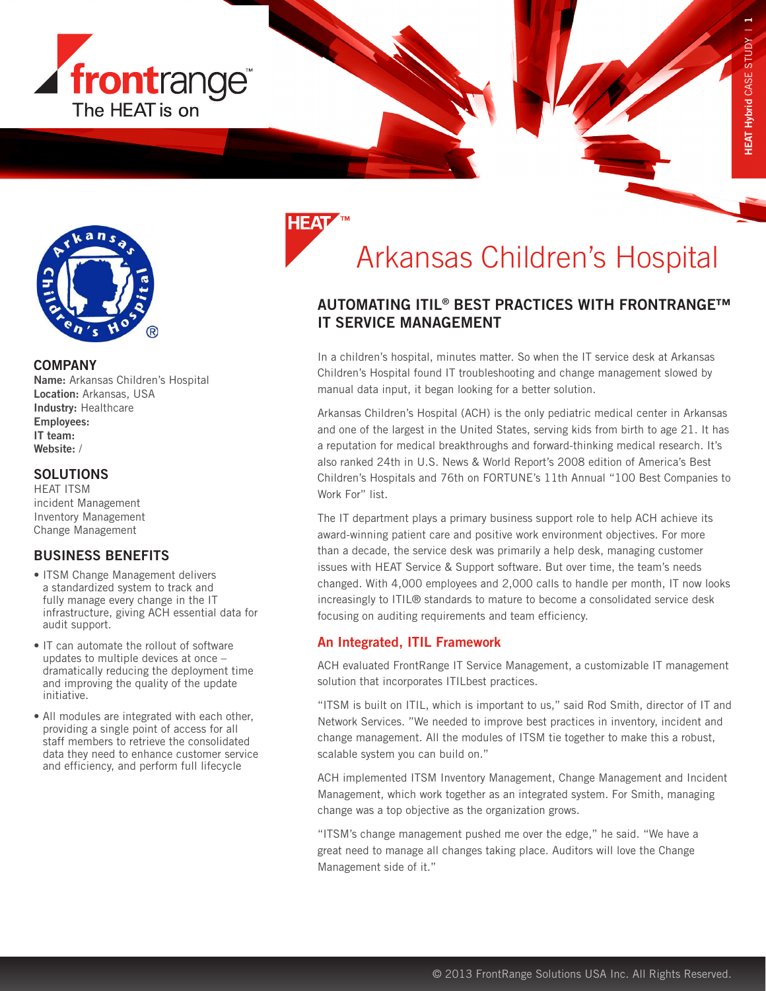



#### **COMPANY**

Name: Arkansas Children's Hospital Location: Arkansas, USA Industry: Healthcare Employees: IT team: Website: /

#### **SOLUTIONS**

HEAT ITSM incident Management Inventory Management Change Management

# BUSINESS BENEFITS

- ITSM Change Management delivers a standardized system to track and fully manage every change in the IT infrastructure, giving ACH essential data for audit support.
- IT can automate the rollout of software updates to multiple devices at once – dramatically reducing the deployment time and improving the quality of the update initiative.
- All modules are integrated with each other, providing a single point of access for all staff members to retrieve the consolidated data they need to enhance customer service and efficiency, and perform full lifecycle

# Arkansas Children's Hospital

# AUTOMATING ITIL® BEST PRACTICES WITH FRONTRANGE™ IT SERVICE MANAGEMENT

In a children's hospital, minutes matter. So when the IT service desk at Arkansas Children's Hospital found IT troubleshooting and change management slowed by manual data input, it began looking for a better solution.

Arkansas Children's Hospital (ACH) is the only pediatric medical center in Arkansas and one of the largest in the United States, serving kids from birth to age 21. It has a reputation for medical breakthroughs and forward-thinking medical research. It's also ranked 24th in U.S. News & World Report's 2008 edition of America's Best Children's Hospitals and 76th on FORTUNE's 11th Annual "100 Best Companies to Work For" list.

The IT department plays a primary business support role to help ACH achieve its award-winning patient care and positive work environment objectives. For more than a decade, the service desk was primarily a help desk, managing customer issues with HEAT Service & Support software. But over time, the team's needs changed. With 4,000 employees and 2,000 calls to handle per month, IT now looks increasingly to ITIL® standards to mature to become a consolidated service desk focusing on auditing requirements and team efficiency.

# An Integrated, ITIL Framework

ACH evaluated FrontRange IT Service Management, a customizable IT management solution that incorporates ITILbest practices.

"ITSM is built on ITIL, which is important to us," said Rod Smith, director of IT and Network Services. "We needed to improve best practices in inventory, incident and change management. All the modules of ITSM tie together to make this a robust, scalable system you can build on."

ACH implemented ITSM Inventory Management, Change Management and Incident Management, which work together as an integrated system. For Smith, managing change was a top objective as the organization grows.

"ITSM's change management pushed me over the edge," he said. "We have a great need to manage all changes taking place. Auditors will love the Change Management side of it."